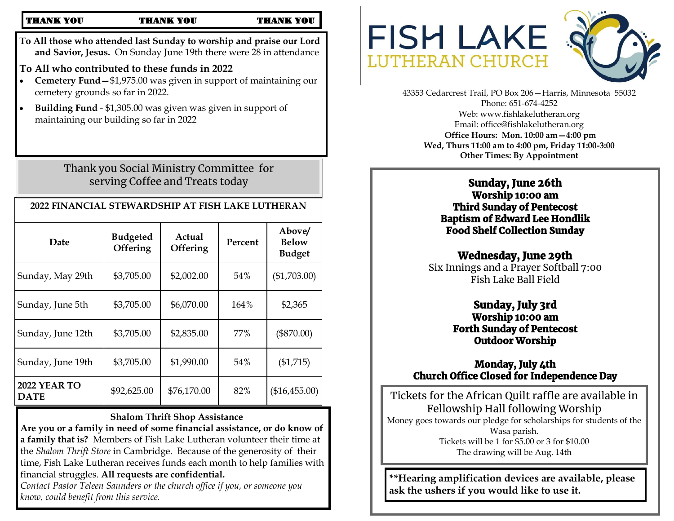#### THANK YOU THANK YOU THANK YOU

**To All those who attended last Sunday to worship and praise our Lord and Savior, Jesus.** On Sunday June 19th there were 28 in attendance

**To All who contributed to these funds in 2022**

- **Cemetery Fund—**\$1,975.00 was given in support of maintaining our cemetery grounds so far in 2022.
- **Building Fund**  \$1,305.00 was given was given in support of maintaining our building so far in 2022

Thank you Social Ministry Committee for serving Coffee and Treats today

| 2022 FINANCIAL STEWARDSHIP AT FISH LAKE LUTHERAN |                                    |                    |         |                                         |
|--------------------------------------------------|------------------------------------|--------------------|---------|-----------------------------------------|
| Date                                             | <b>Budgeted</b><br><b>Offering</b> | Actual<br>Offering | Percent | Above/<br><b>Below</b><br><b>Budget</b> |
| Sunday, May 29th                                 | \$3,705.00                         | \$2,002.00         | 54%     | (\$1,703.00)                            |
| Sunday, June 5th                                 | \$3,705.00                         | \$6,070.00         | 164%    | \$2,365                                 |
| Sunday, June 12th                                | \$3,705.00                         | \$2,835.00         | 77%     | $(\$870.00)$                            |
| Sunday, June 19th                                | \$3,705.00                         | \$1,990.00         | 54%     | (\$1,715)                               |
| <b>2022 YEAR TO</b><br><b>DATE</b>               | \$92,625.00                        | \$76,170.00        | 82%     | (\$16,455.00)                           |

### **Shalom Thrift Shop Assistance**

**Are you or a family in need of some financial assistance, or do know of a family that is?** Members of Fish Lake Lutheran volunteer their time at the *Shalom Thrift Store* in Cambridge. Because of the generosity of their time, Fish Lake Lutheran receives funds each month to help families with financial struggles. **All requests are confidential.** 

*Contact Pastor Teleen Saunders or the church office if you, or someone you know, could benefit from this service.* 



43353 Cedarcrest Trail, PO Box 206—Harris, Minnesota 55032 Phone: 651-674-4252 Web: www.fishlakelutheran.org Email: office@fishlakelutheran.org **Office Hours: Mon. 10:00 am—4:00 pm Wed, Thurs 11:00 am to 4:00 pm, Friday 11:00-3:00 Other Times: By Appointment**

# Sunday, June 26th

Worship 10:00 am Third Sunday of Pentecost Baptism of Edward Lee Hondlik Food Shelf Collection Sunday

## Wednesday, June 29th

Six Innings and a Prayer Softball 7:00 Fish Lake Ball Field

### Sunday, July 3rd Worship 10:00 am Forth Sunday of Pentecost Outdoor Worship

## Monday, July 4th Church Office Closed for Independence Day

Tickets for the African Quilt raffle are available in Fellowship Hall following Worship Money goes towards our pledge for scholarships for students of the Wasa parish. Tickets will be 1 for \$5.00 or 3 for \$10.00 The drawing will be Aug. 14th

**\*\*Hearing amplification devices are available, please ask the ushers if you would like to use it.**